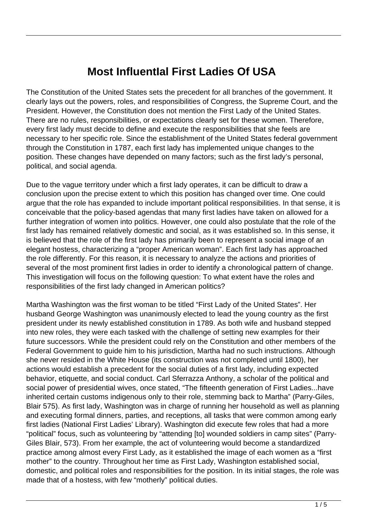## **Most InfluentIal First Ladies Of USA**

The Constitution of the United States sets the precedent for all branches of the government. It clearly lays out the powers, roles, and responsibilities of Congress, the Supreme Court, and the President. However, the Constitution does not mention the First Lady of the United States. There are no rules, responsibilities, or expectations clearly set for these women. Therefore, every first lady must decide to define and execute the responsibilities that she feels are necessary to her specific role. Since the establishment of the United States federal government through the Constitution in 1787, each first lady has implemented unique changes to the position. These changes have depended on many factors; such as the first lady's personal, political, and social agenda.

Due to the vague territory under which a first lady operates, it can be difficult to draw a conclusion upon the precise extent to which this position has changed over time. One could argue that the role has expanded to include important political responsibilities. In that sense, it is conceivable that the policy-based agendas that many first ladies have taken on allowed for a further integration of women into politics. However, one could also postulate that the role of the first lady has remained relatively domestic and social, as it was established so. In this sense, it is believed that the role of the first lady has primarily been to represent a social image of an elegant hostess, characterizing a "proper American woman". Each first lady has approached the role differently. For this reason, it is necessary to analyze the actions and priorities of several of the most prominent first ladies in order to identify a chronological pattern of change. This investigation will focus on the following question: To what extent have the roles and responsibilities of the first lady changed in American politics?

Martha Washington was the first woman to be titled "First Lady of the United States". Her husband George Washington was unanimously elected to lead the young country as the first president under its newly established constitution in 1789. As both wife and husband stepped into new roles, they were each tasked with the challenge of setting new examples for their future successors. While the president could rely on the Constitution and other members of the Federal Government to guide him to his jurisdiction, Martha had no such instructions. Although she never resided in the White House (its construction was not completed until 1800), her actions would establish a precedent for the social duties of a first lady, including expected behavior, etiquette, and social conduct. Carl Sferrazza Anthony, a scholar of the political and social power of presidential wives, once stated, "The fifteenth generation of First Ladies...have inherited certain customs indigenous only to their role, stemming back to Martha" (Parry-Giles, Blair 575). As first lady, Washington was in charge of running her household as well as planning and executing formal dinners, parties, and receptions, all tasks that were common among early first ladies (National First Ladies' Library). Washington did execute few roles that had a more "political" focus, such as volunteering by "attending [to] wounded soldiers in camp sites" (Parry-Giles Blair, 573). From her example, the act of volunteering would become a standardized practice among almost every First Lady, as it established the image of each women as a "first mother" to the country. Throughout her time as First Lady, Washington established social, domestic, and political roles and responsibilities for the position. In its initial stages, the role was made that of a hostess, with few "motherly" political duties.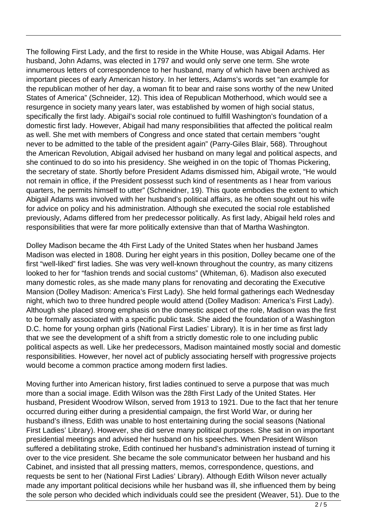The following First Lady, and the first to reside in the White House, was Abigail Adams. Her husband, John Adams, was elected in 1797 and would only serve one term. She wrote innumerous letters of correspondence to her husband, many of which have been archived as important pieces of early American history. In her letters, Adams's words set "an example for the republican mother of her day, a woman fit to bear and raise sons worthy of the new United States of America" (Schneider, 12). This idea of Republican Motherhood, which would see a resurgence in society many years later, was established by women of high social status, specifically the first lady. Abigail's social role continued to fulfill Washington's foundation of a domestic first lady. However, Abigail had many responsibilities that affected the political realm as well. She met with members of Congress and once stated that certain members "ought never to be admitted to the table of the president again" (Parry-Giles Blair, 568). Throughout the American Revolution, Abigail advised her husband on many legal and political aspects, and she continued to do so into his presidency. She weighed in on the topic of Thomas Pickering, the secretary of state. Shortly before President Adams dismissed him, Abigail wrote, "He would not remain in office, if the President possesst such kind of resentments as I hear from various quarters, he permits himself to utter" (Schneidner, 19). This quote embodies the extent to which Abigail Adams was involved with her husband's political affairs, as he often sought out his wife for advice on policy and his administration. Although she executed the social role established previously, Adams differed from her predecessor politically. As first lady, Abigail held roles and responsibilities that were far more politically extensive than that of Martha Washington.

Dolley Madison became the 4th First Lady of the United States when her husband James Madison was elected in 1808. During her eight years in this position, Dolley became one of the first "well-liked" first ladies. She was very well-known throughout the country, as many citizens looked to her for "fashion trends and social customs" (Whiteman, 6). Madison also executed many domestic roles, as she made many plans for renovating and decorating the Executive Mansion (Dolley Madison: America's First Lady). She held formal gatherings each Wednesday night, which two to three hundred people would attend (Dolley Madison: America's First Lady). Although she placed strong emphasis on the domestic aspect of the role, Madison was the first to be formally associated with a specific public task. She aided the foundation of a Washington D.C. home for young orphan girls (National First Ladies' Library). It is in her time as first lady that we see the development of a shift from a strictly domestic role to one including public political aspects as well. Like her predecessors, Madison maintained mostly social and domestic responsibilities. However, her novel act of publicly associating herself with progressive projects would become a common practice among modern first ladies.

Moving further into American history, first ladies continued to serve a purpose that was much more than a social image. Edith Wilson was the 28th First Lady of the United States. Her husband, President Woodrow Wilson, served from 1913 to 1921. Due to the fact that her tenure occurred during either during a presidential campaign, the first World War, or during her husband's illness, Edith was unable to host entertaining during the social seasons (National First Ladies' Library). However, she did serve many political purposes. She sat in on important presidential meetings and advised her husband on his speeches. When President Wilson suffered a debilitating stroke, Edith continued her husband's administration instead of turning it over to the vice president. She became the sole communicator between her husband and his Cabinet, and insisted that all pressing matters, memos, correspondence, questions, and requests be sent to her (National First Ladies' Library). Although Edith Wilson never actually made any important political decisions while her husband was ill, she influenced them by being the sole person who decided which individuals could see the president (Weaver, 51). Due to the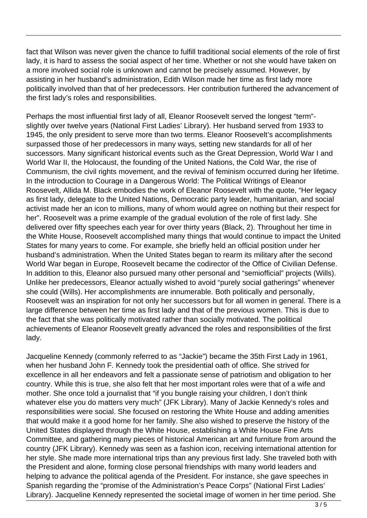fact that Wilson was never given the chance to fulfill traditional social elements of the role of first lady, it is hard to assess the social aspect of her time. Whether or not she would have taken on a more involved social role is unknown and cannot be precisely assumed. However, by assisting in her husband's administration, Edith Wilson made her time as first lady more politically involved than that of her predecessors. Her contribution furthered the advancement of the first lady's roles and responsibilities.

Perhaps the most influential first lady of all, Eleanor Roosevelt served the longest "term" slightly over twelve years (National First Ladies' Library). Her husband served from 1933 to 1945, the only president to serve more than two terms. Eleanor Roosevelt's accomplishments surpassed those of her predecessors in many ways, setting new standards for all of her successors. Many significant historical events such as the Great Depression, World War I and World War II, the Holocaust, the founding of the United Nations, the Cold War, the rise of Communism, the civil rights movement, and the revival of feminism occurred during her lifetime. In the introduction to Courage in a Dangerous World: The Political Writings of Eleanor Roosevelt, Allida M. Black embodies the work of Eleanor Roosevelt with the quote, "Her legacy as first lady, delegate to the United Nations, Democratic party leader, humanitarian, and social activist made her an icon to millions, many of whom would agree on nothing but their respect for her". Roosevelt was a prime example of the gradual evolution of the role of first lady. She delivered over fifty speeches each year for over thirty years (Black, 2). Throughout her time in the White House, Roosevelt accomplished many things that would continue to impact the United States for many years to come. For example, she briefly held an official position under her husband's administration. When the United States began to rearm its military after the second World War began in Europe, Roosevelt became the codirector of the Office of Civilian Defense. In addition to this, Eleanor also pursued many other personal and "semiofficial" projects (Wills). Unlike her predecessors, Eleanor actually wished to avoid "purely social gatherings" whenever she could (Wills). Her accomplishments are innumerable. Both politically and personally, Roosevelt was an inspiration for not only her successors but for all women in general. There is a large difference between her time as first lady and that of the previous women. This is due to the fact that she was politically motivated rather than socially motivated. The political achievements of Eleanor Roosevelt greatly advanced the roles and responsibilities of the first lady.

Jacqueline Kennedy (commonly referred to as "Jackie") became the 35th First Lady in 1961, when her husband John F. Kennedy took the presidential oath of office. She strived for excellence in all her endeavors and felt a passionate sense of patriotism and obligation to her country. While this is true, she also felt that her most important roles were that of a wife and mother. She once told a journalist that "if you bungle raising your children, I don't think whatever else you do matters very much" (JFK Library). Many of Jackie Kennedy's roles and responsibilities were social. She focused on restoring the White House and adding amenities that would make it a good home for her family. She also wished to preserve the history of the United States displayed through the White House, establishing a White House Fine Arts Committee, and gathering many pieces of historical American art and furniture from around the country (JFK Library). Kennedy was seen as a fashion icon, receiving international attention for her style. She made more international trips than any previous first lady. She traveled both with the President and alone, forming close personal friendships with many world leaders and helping to advance the political agenda of the President. For instance, she gave speeches in Spanish regarding the "promise of the Administration's Peace Corps" (National First Ladies' Library). Jacqueline Kennedy represented the societal image of women in her time period. She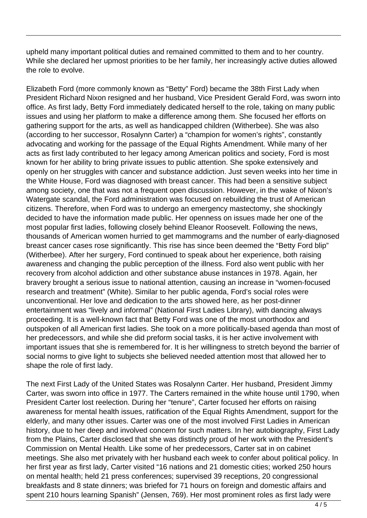upheld many important political duties and remained committed to them and to her country. While she declared her upmost priorities to be her family, her increasingly active duties allowed the role to evolve.

Elizabeth Ford (more commonly known as "Betty" Ford) became the 38th First Lady when President Richard Nixon resigned and her husband, Vice President Gerald Ford, was sworn into office. As first lady, Betty Ford immediately dedicated herself to the role, taking on many public issues and using her platform to make a difference among them. She focused her efforts on gathering support for the arts, as well as handicapped children (Witherbee). She was also (according to her successor, Rosalynn Carter) a "champion for women's rights", constantly advocating and working for the passage of the Equal Rights Amendment. While many of her acts as first lady contributed to her legacy among American politics and society, Ford is most known for her ability to bring private issues to public attention. She spoke extensively and openly on her struggles with cancer and substance addiction. Just seven weeks into her time in the White House, Ford was diagnosed with breast cancer. This had been a sensitive subject among society, one that was not a frequent open discussion. However, in the wake of Nixon's Watergate scandal, the Ford administration was focused on rebuilding the trust of American citizens. Therefore, when Ford was to undergo an emergency mastectomy, she shockingly decided to have the information made public. Her openness on issues made her one of the most popular first ladies, following closely behind Eleanor Roosevelt. Following the news, thousands of American women hurried to get mammograms and the number of early-diagnosed breast cancer cases rose significantly. This rise has since been deemed the "Betty Ford blip" (Witherbee). After her surgery, Ford continued to speak about her experience, both raising awareness and changing the public perception of the illness. Ford also went public with her recovery from alcohol addiction and other substance abuse instances in 1978. Again, her bravery brought a serious issue to national attention, causing an increase in "women-focused research and treatment" (White). Similar to her public agenda, Ford's social roles were unconventional. Her love and dedication to the arts showed here, as her post-dinner entertainment was "lively and informal" (National First Ladies Library), with dancing always proceeding. It is a well-known fact that Betty Ford was one of the most unorthodox and outspoken of all American first ladies. She took on a more politically-based agenda than most of her predecessors, and while she did preform social tasks, it is her active involvement with important issues that she is remembered for. It is her willingness to stretch beyond the barrier of social norms to give light to subjects she believed needed attention most that allowed her to shape the role of first lady.

The next First Lady of the United States was Rosalynn Carter. Her husband, President Jimmy Carter, was sworn into office in 1977. The Carters remained in the white house until 1790, when President Carter lost reelection. During her "tenure", Carter focused her efforts on raising awareness for mental health issues, ratification of the Equal Rights Amendment, support for the elderly, and many other issues. Carter was one of the most involved First Ladies in American history, due to her deep and involved concern for such matters. In her autobiography, First Lady from the Plains, Carter disclosed that she was distinctly proud of her work with the President's Commission on Mental Health. Like some of her predecessors, Carter sat in on cabinet meetings. She also met privately with her husband each week to confer about political policy. In her first year as first lady, Carter visited "16 nations and 21 domestic cities; worked 250 hours on mental health; held 21 press conferences; supervised 39 receptions, 20 congressional breakfasts and 8 state dinners; was briefed for 71 hours on foreign and domestic affairs and spent 210 hours learning Spanish" (Jensen, 769). Her most prominent roles as first lady were